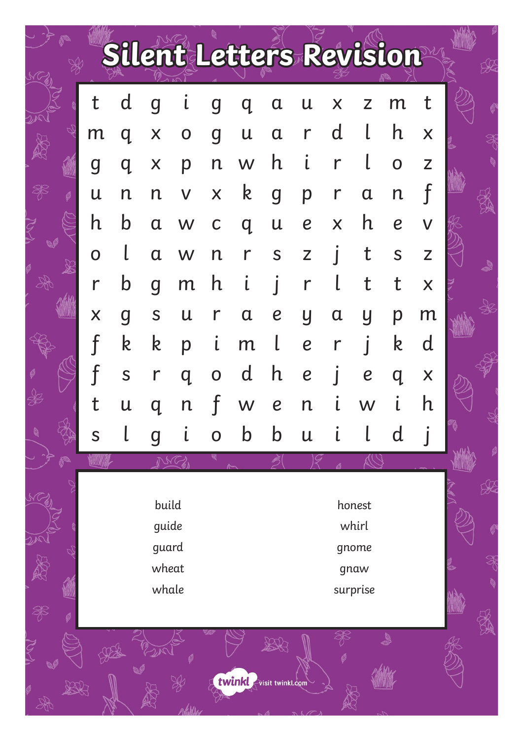|   |   |                                                                                                            |             |   |   | Silent Letters Revision |                  |                  |             |                  |                  |                                                                                             |  |
|---|---|------------------------------------------------------------------------------------------------------------|-------------|---|---|-------------------------|------------------|------------------|-------------|------------------|------------------|---------------------------------------------------------------------------------------------|--|
|   | t | d                                                                                                          | q           | l | g | Q                       | α                | U                | Χ           | 7                | m                | t                                                                                           |  |
|   | m | q                                                                                                          | X           | 0 | g | U                       | $\mathbf a$      | r                | d           |                  | h                | X                                                                                           |  |
|   | g | q                                                                                                          | X           | р | n | W                       | h                |                  |             |                  | $\mathbf O$      | $\mathsf{Z}% _{0}\left( \mathsf{Z}\right)$                                                  |  |
| Ø | U | n                                                                                                          | n           | V | X | k                       | g                | p                | r           | $\mathfrak a$    | $\mathsf{n}$     |                                                                                             |  |
|   | h | b                                                                                                          | $\mathbf a$ | W | С | q                       | U                | $\boldsymbol{e}$ | X           | h                | $\boldsymbol{e}$ | V                                                                                           |  |
|   | O |                                                                                                            | α           | W | n | r                       | S                | Z                |             |                  | S                | $\mathsf{Z}% _{0}\!\left( \mathbb{Z}\right) \equiv\mathsf{Z}_{0}\!\left( \mathbb{Z}\right)$ |  |
|   | r | b                                                                                                          | q           | m | h |                         |                  | r                |             | t                | t                | $\sf X$                                                                                     |  |
|   | X | g                                                                                                          | S           | U | r | $\mathfrak a$           | $\boldsymbol{e}$ | y                | $\mathbf a$ | Ų                | р                | m                                                                                           |  |
|   |   | k                                                                                                          | k           | р | l | m                       |                  | $\boldsymbol{e}$ | r           |                  | k                | d                                                                                           |  |
|   |   | S                                                                                                          | r           | q | O | d                       | h                | $\boldsymbol{e}$ |             | $\boldsymbol{e}$ | q                | X                                                                                           |  |
|   |   | U                                                                                                          |             |   |   |                         | $\boldsymbol{e}$ | n                |             |                  |                  | h                                                                                           |  |
|   | S |                                                                                                            | q           |   | O | b                       | b                | $\mathsf{u}$     |             |                  | $\mathbf d$      |                                                                                             |  |
|   |   | <b>MARITE</b><br>build<br>honest<br>guide<br>whirl<br>guard<br>gnome<br>wheat<br>gnaw<br>whale<br>surprise |             |   |   |                         |                  |                  |             |                  |                  |                                                                                             |  |
| g |   |                                                                                                            |             |   |   | twinkl visit twinkl.com |                  |                  |             |                  | 额                |                                                                                             |  |

S

גנר